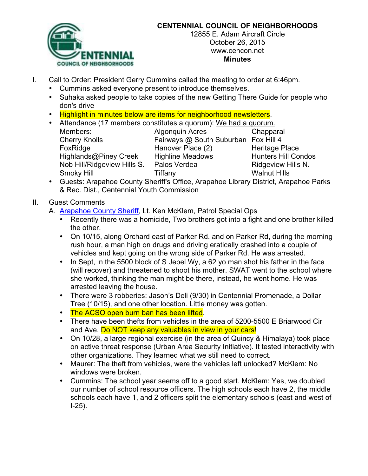

## **CENTENNIAL COUNCIL OF NEIGHBORHOODS**

12855 E. Adam Aircraft Circle October 26, 2015 www.cencon.net **Minutes**

- I. Call to Order: President Gerry Cummins called the meeting to order at 6:46pm.
	- Cummins asked everyone present to introduce themselves.
	- Suhaka asked people to take copies of the new Getting There Guide for people who don's drive
	- Highlight in minutes below are items for neighborhood newsletters.
	- Attendance (17 members constitutes a quorum): We had a quorum. Members: Algonquin Acres Chapparal Cherry Knolls **Fairways @ South Suburban** Fox Hill 4 FoxRidge **Hanover Place (2)** Heritage Place Highlands@Piney Creek Highline Meadows Hunters Hill Condos

Nob Hill/Ridgeview Hills S. Palos Verdea Ridgeview Hills N. Smoky Hill **Tiffany** Tiffany Walnut Hills

• Guests: Arapahoe County Sheriff's Office, Arapahoe Library District, Arapahoe Parks & Rec. Dist., Centennial Youth Commission

## II. Guest Comments

- A. Arapahoe County Sheriff, Lt. Ken McKlem, Patrol Special Ops
	- Recently there was a homicide, Two brothers got into a fight and one brother killed the other.
	- On 10/15, along Orchard east of Parker Rd. and on Parker Rd, during the morning rush hour, a man high on drugs and driving eratically crashed into a couple of vehicles and kept going on the wrong side of Parker Rd. He was arrested.
	- In Sept, in the 5500 block of S Jebel Wy, a 62 yo man shot his father in the face (will recover) and threatened to shoot his mother. SWAT went to the school where she worked, thinking the man might be there, instead, he went home. He was arrested leaving the house.
	- There were 3 robberies: Jason's Deli (9/30) in Centennial Promenade, a Dollar Tree (10/15), and one other location. Little money was gotten.
	- The ACSO open burn ban has been lifted.
	- There have been thefts from vehicles in the area of 5200-5500 E Briarwood Cir and Ave. Do NOT keep any valuables in view in your cars!
	- On 10/28, a large regional exercise (in the area of Quincy & Himalaya) took place on active threat response (Urban Area Security Initiative). It tested interactivity with other organizations. They learned what we still need to correct.
	- Maurer: The theft from vehicles, were the vehicles left unlocked? McKlem: No windows were broken.
	- Cummins: The school year seems off to a good start. McKlem: Yes, we doubled our number of school resource officers. The high schools each have 2, the middle schools each have 1, and 2 officers split the elementary schools (east and west of I-25).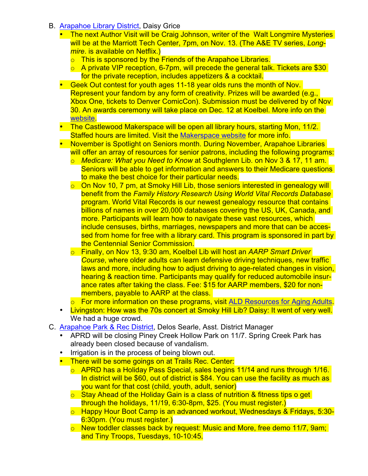- B. Arapahoe Library District, Daisy Grice
	- The next Author Visit will be Craig Johnson, writer of the Walt Longmire Mysteries will be at the Marriott Tech Center, 7pm, on Nov. 13. (The A&E TV series, *Longmire*. is available on Netflix.)
		- o This is sponsored by the Friends of the Arapahoe Libraries.
		- $\circ$  A private VIP reception, 6-7pm, will precede the general talk. Tickets are \$30 for the private reception, includes appetizers & a cocktail.
	- Geek Out contest for youth ages 11-18 year olds runs the month of Nov. Represent your fandom by any form of creativity. Prizes will be awarded (e.g., Xbox One, tickets to Denver ComicCon). Submission must be delivered by of Nov 30. An awards ceremony will take place on Dec. 12 at Koelbel. More info on the website.
	- The Castlewood Makerspace will be open all library hours, starting Mon, 11/2. Staffed hours are limited. Visit the Makerspace website for more info.
	- November is Spotlight on Seniors month. During November, Arapahoe Libraries will offer an array of resources for senior patrons, including the following programs:
		- o *Medicare: What you Need to Know* at Southglenn Lib. on Nov 3 & 17, 11 am. Seniors will be able to get information and answers to their Medicare questions to make the best choice for their particular needs.
		- o On Nov 10, 7 pm, at Smoky Hill Lib, those seniors interested in genealogy will benefit from the *Family History Research Using World Vital Records Database* program. World Vital Records is our newest genealogy resource that contains billions of names in over 20,000 databases covering the US, UK, Canada, and more. Participants will learn how to navigate these vast resources, which include censuses, births, marriages, newspapers and more that can be accessed from home for free with a library card. This program is sponsored in part by the Centennial Senior Commission.
		- o Finally, on Nov 13, 9:30 am, Koelbel Lib will host an *AARP Smart Driver Course*, where older adults can learn defensive driving techniques, new traffic laws and more, including how to adjust driving to age-related changes in vision, hearing & reaction time. Participants may qualify for reduced automobile insurance rates after taking the class. Fee: \$15 for AARP members, \$20 for nonmembers, payable to AARP at the class.
		- o For more information on these programs, visit ALD Resources for Aging Adults.
	- Livingston: How was the 70s concert at Smoky Hill Lib? Daisy: It went of very well. We had a huge crowd.
- C. Arapahoe Park & Rec District, Delos Searle, Asst. District Manager
	- APRD will be closing Piney Creek Hollow Park on 11/7. Spring Creek Park has already been closed because of vandalism.
	- Irrigation is in the process of being blown out.
	- There will be some goings on at Trails Rec. Center:
		- o APRD has a Holiday Pass Special, sales begins 11/14 and runs through 1/16. In district will be \$60, out of district is \$84. You can use the facility as much as you want for that cost (child, youth, adult, senior)
		- $\circ$  Stay Ahead of the Holiday Gain is a class of nutrition & fitness tips o get through the holidays, 11/19, 6:30-8pm, \$25. (You must register.)
		- o Happy Hour Boot Camp is an advanced workout, Wednesdays & Fridays, 5:30- 6:30pm. (You must register.)
		- o New toddler classes back by request: Music and More, free demo 11/7, 9am; and Tiny Troops, Tuesdays, 10-10:45.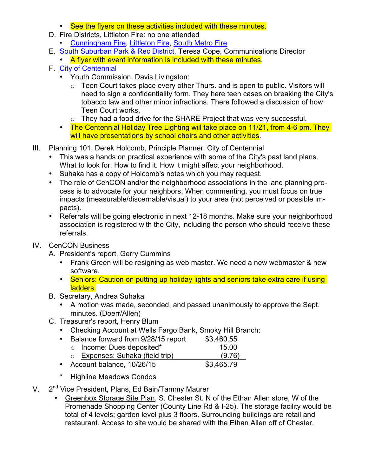- See the flyers on these activities included with these minutes.
- D. Fire Districts, Littleton Fire: no one attended
	- Cunningham Fire, Littleton Fire, South Metro Fire
- E. South Suburban Park & Rec District, Teresa Cope, Communications Director
	- A flyer with event information is included with these minutes.
- F. City of Centennial
	- Youth Commission, Davis Livingston:
		- $\circ$  Teen Court takes place every other Thurs. and is open to public. Visitors will need to sign a confidentiality form. They here teen cases on breaking the City's tobacco law and other minor infractions. There followed a discussion of how Teen Court works.
		- o They had a food drive for the SHARE Project that was very successful.
	- The Centennial Holiday Tree Lighting will take place on 11/21, from 4-6 pm. They will have presentations by school choirs and other activities.
- III. Planning 101, Derek Holcomb, Principle Planner, City of Centennial
	- This was a hands on practical experience with some of the City's past land plans. What to look for. How to find it. How it might affect your neighborhood.
	- Suhaka has a copy of Holcomb's notes which you may request.
	- The role of CenCON and/or the neighborhood associations in the land planning process is to advocate for your neighbors. When commenting, you must focus on true impacts (measurable/discernable/visual) to your area (not perceived or possible impacts).
	- Referrals will be going electronic in next 12-18 months. Make sure your neighborhood association is registered with the City, including the person who should receive these referrals.
- IV. CenCON Business
	- A. President's report, Gerry Cummins
		- Frank Green will be resigning as web master. We need a new webmaster & new software.
		- Seniors: Caution on putting up holiday lights and seniors take extra care if using ladders.
	- B. Secretary, Andrea Suhaka
		- A motion was made, seconded, and passed unanimously to approve the Sept. minutes. (Doerr/Allen)
	- C. Treasurer's report, Henry Blum
		- Checking Account at Wells Fargo Bank, Smoky Hill Branch:
		- Balance forward from 9/28/15 report \$3,460.55
			- o Income: Dues deposited\* 15.00
		- o Expenses: Suhaka (field trip) (9.76) • Account balance, 10/26/15 \$3,465.79
		-
		- \* Highline Meadows Condos
- V. 2<sup>nd</sup> Vice President, Plans, Ed Bain/Tammy Maurer
	- Greenbox Storage Site Plan, S. Chester St. N of the Ethan Allen store, W of the Promenade Shopping Center (County Line Rd & I-25). The storage facility would be total of 4 levels; garden level plus 3 floors. Surrounding buildings are retail and restaurant. Access to site would be shared with the Ethan Allen off of Chester.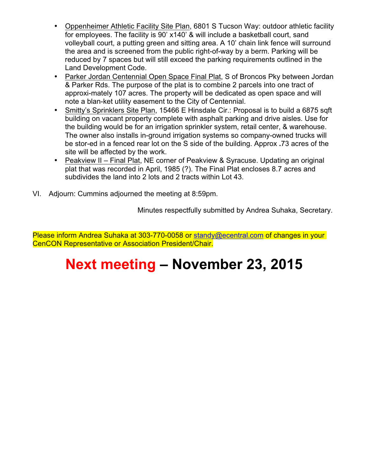- Oppenheimer Athletic Facility Site Plan, 6801 S Tucson Way: outdoor athletic facility for employees. The facility is 90' x140' & will include a basketball court, sand volleyball court, a putting green and sitting area. A 10' chain link fence will surround the area and is screened from the public right-of-way by a berm. Parking will be reduced by 7 spaces but will still exceed the parking requirements outlined in the Land Development Code.
- Parker Jordan Centennial Open Space Final Plat, S of Broncos Pky between Jordan & Parker Rds. The purpose of the plat is to combine 2 parcels into one tract of approxi-mately 107 acres. The property will be dedicated as open space and will note a blan-ket utility easement to the City of Centennial.
- Smitty's Sprinklers Site Plan, 15466 E Hinsdale Cir.: Proposal is to build a 6875 sqft building on vacant property complete with asphalt parking and drive aisles. Use for the building would be for an irrigation sprinkler system, retail center, & warehouse. The owner also installs in-ground irrigation systems so company-owned trucks will be stor-ed in a fenced rear lot on the S side of the building. Approx **.**73 acres of the site will be affected by the work.
- Peakview II Final Plat, NE corner of Peakview & Syracuse. Updating an original plat that was recorded in April, 1985 (?). The Final Plat encloses 8.7 acres and subdivides the land into 2 lots and 2 tracts within Lot 43.
- VI. Adjourn: Cummins adjourned the meeting at 8:59pm.

Minutes respectfully submitted by Andrea Suhaka, Secretary.

Please inform Andrea Suhaka at 303-770-0058 or standy@ecentral.com of changes in your CenCON Representative or Association President/Chair.

# **Next meeting – November 23, 2015**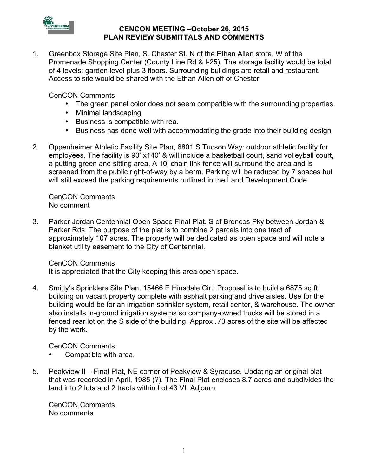

#### **CENCON MEETING –October 26, 2015 PLAN REVIEW SUBMITTALS AND COMMENTS**

1. Greenbox Storage Site Plan, S. Chester St. N of the Ethan Allen store, W of the Promenade Shopping Center (County Line Rd & I-25). The storage facility would be total of 4 levels; garden level plus 3 floors. Surrounding buildings are retail and restaurant. Access to site would be shared with the Ethan Allen off of Chester

CenCON Comments

- The green panel color does not seem compatible with the surrounding properties.
- Minimal landscaping
- Business is compatible with rea.
- Business has done well with accommodating the grade into their building design
- 2. Oppenheimer Athletic Facility Site Plan, 6801 S Tucson Way: outdoor athletic facility for employees. The facility is 90' x140' & will include a basketball court, sand volleyball court, a putting green and sitting area. A 10' chain link fence will surround the area and is screened from the public right-of-way by a berm. Parking will be reduced by 7 spaces but will still exceed the parking requirements outlined in the Land Development Code.

CenCON Comments No comment

3. Parker Jordan Centennial Open Space Final Plat, S of Broncos Pky between Jordan & Parker Rds. The purpose of the plat is to combine 2 parcels into one tract of approximately 107 acres. The property will be dedicated as open space and will note a blanket utility easement to the City of Centennial.

CenCON Comments

It is appreciated that the City keeping this area open space.

4. Smitty's Sprinklers Site Plan, 15466 E Hinsdale Cir.: Proposal is to build a 6875 sq ft building on vacant property complete with asphalt parking and drive aisles. Use for the building would be for an irrigation sprinkler system, retail center, & warehouse. The owner also installs in-ground irrigation systems so company-owned trucks will be stored in a fenced rear lot on the S side of the building. Approx **.**73 acres of the site will be affected by the work.

CenCON Comments

- Compatible with area.
- 5. Peakview II Final Plat, NE corner of Peakview & Syracuse. Updating an original plat that was recorded in April, 1985 (?). The Final Plat encloses 8.7 acres and subdivides the land into 2 lots and 2 tracts within Lot 43 VI. Adjourn

CenCON Comments No comments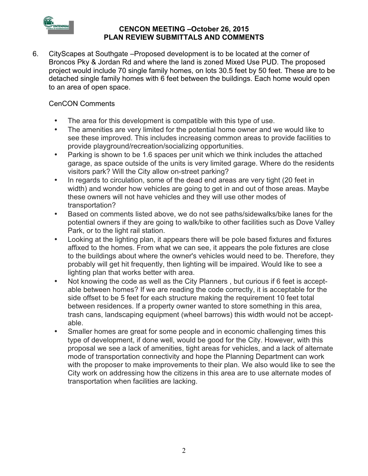

#### **CENCON MEETING –October 26, 2015 PLAN REVIEW SUBMITTALS AND COMMENTS**

6. CityScapes at Southgate –Proposed development is to be located at the corner of Broncos Pky & Jordan Rd and where the land is zoned Mixed Use PUD. The proposed project would include 70 single family homes, on lots 30.5 feet by 50 feet. These are to be detached single family homes with 6 feet between the buildings. Each home would open to an area of open space.

### CenCON Comments

- The area for this development is compatible with this type of use.
- The amenities are very limited for the potential home owner and we would like to see these improved. This includes increasing common areas to provide facilities to provide playground/recreation/socializing opportunities.
- Parking is shown to be 1.6 spaces per unit which we think includes the attached garage, as space outside of the units is very limited garage. Where do the residents visitors park? Will the City allow on-street parking?
- In regards to circulation, some of the dead end areas are very tight (20 feet in width) and wonder how vehicles are going to get in and out of those areas. Maybe these owners will not have vehicles and they will use other modes of transportation?
- Based on comments listed above, we do not see paths/sidewalks/bike lanes for the potential owners if they are going to walk/bike to other facilities such as Dove Valley Park, or to the light rail station.
- Looking at the lighting plan, it appears there will be pole based fixtures and fixtures affixed to the homes. From what we can see, it appears the pole fixtures are close to the buildings about where the owner's vehicles would need to be. Therefore, they probably will get hit frequently, then lighting will be impaired. Would like to see a lighting plan that works better with area.
- Not knowing the code as well as the City Planners , but curious if 6 feet is acceptable between homes? If we are reading the code correctly, it is acceptable for the side offset to be 5 feet for each structure making the requirement 10 feet total between residences. If a property owner wanted to store something in this area, trash cans, landscaping equipment (wheel barrows) this width would not be acceptable.
- Smaller homes are great for some people and in economic challenging times this type of development, if done well, would be good for the City. However, with this proposal we see a lack of amenities, tight areas for vehicles, and a lack of alternate mode of transportation connectivity and hope the Planning Department can work with the proposer to make improvements to their plan. We also would like to see the City work on addressing how the citizens in this area are to use alternate modes of transportation when facilities are lacking.